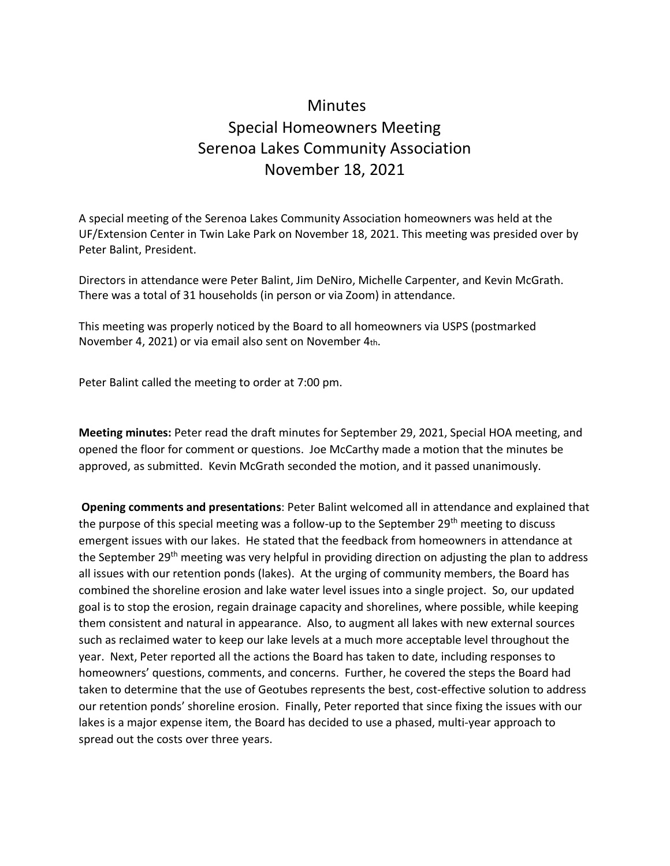## Minutes Special Homeowners Meeting Serenoa Lakes Community Association November 18, 2021

A special meeting of the Serenoa Lakes Community Association homeowners was held at the UF/Extension Center in Twin Lake Park on November 18, 2021. This meeting was presided over by Peter Balint, President.

Directors in attendance were Peter Balint, Jim DeNiro, Michelle Carpenter, and Kevin McGrath. There was a total of 31 households (in person or via Zoom) in attendance.

This meeting was properly noticed by the Board to all homeowners via USPS (postmarked November 4, 2021) or via email also sent on November 4th.

Peter Balint called the meeting to order at 7:00 pm.

**Meeting minutes:** Peter read the draft minutes for September 29, 2021, Special HOA meeting, and opened the floor for comment or questions. Joe McCarthy made a motion that the minutes be approved, as submitted. Kevin McGrath seconded the motion, and it passed unanimously.

**Opening comments and presentations**: Peter Balint welcomed all in attendance and explained that the purpose of this special meeting was a follow-up to the September  $29<sup>th</sup>$  meeting to discuss emergent issues with our lakes. He stated that the feedback from homeowners in attendance at the September 29<sup>th</sup> meeting was very helpful in providing direction on adjusting the plan to address all issues with our retention ponds (lakes). At the urging of community members, the Board has combined the shoreline erosion and lake water level issues into a single project. So, our updated goal is to stop the erosion, regain drainage capacity and shorelines, where possible, while keeping them consistent and natural in appearance. Also, to augment all lakes with new external sources such as reclaimed water to keep our lake levels at a much more acceptable level throughout the year. Next, Peter reported all the actions the Board has taken to date, including responses to homeowners' questions, comments, and concerns. Further, he covered the steps the Board had taken to determine that the use of Geotubes represents the best, cost-effective solution to address our retention ponds' shoreline erosion. Finally, Peter reported that since fixing the issues with our lakes is a major expense item, the Board has decided to use a phased, multi-year approach to spread out the costs over three years.